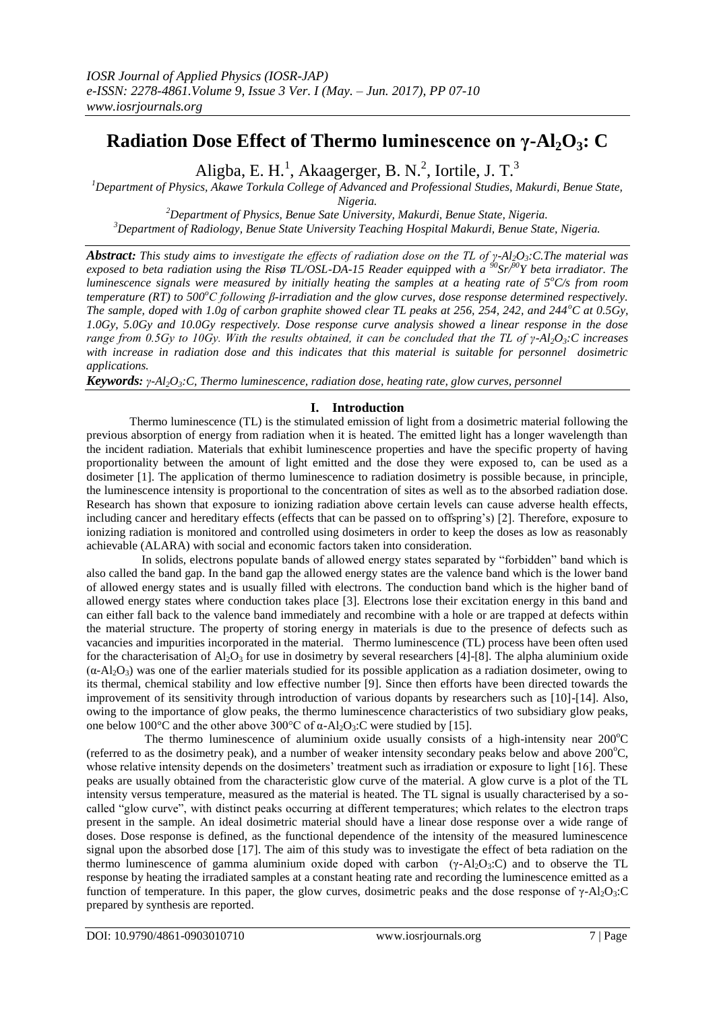# **Radiation Dose Effect of Thermo luminescence on γ-Al2O3: C**

Aligba, E. H.<sup>1</sup>, Akaagerger, B. N.<sup>2</sup>, Iortile, J. T.<sup>3</sup>

*<sup>1</sup>Department of Physics, Akawe Torkula College of Advanced and Professional Studies, Makurdi, Benue State,* 

*Nigeria.*

*<sup>2</sup>Department of Physics, Benue Sate University, Makurdi, Benue State, Nigeria. <sup>3</sup>Department of Radiology, Benue State University Teaching Hospital Makurdi, Benue State, Nigeria.*

*Abstract: This study aims to investigate the effects of radiation dose on the TL of γ-Al2O3:C.The material was exposed to beta radiation using the Risø TL/OSL-DA-15 Reader equipped with a <sup>90</sup>Sr/<sup>90</sup>Y beta irradiator. The luminescence signals were measured by initially heating the samples at a heating rate of 5<sup>o</sup>C/s from room temperature (RT) to 500<sup>o</sup>C following β-irradiation and the glow curves, dose response determined respectively. The sample, doped with 1.0g of carbon graphite showed clear TL peaks at 256, 254, 242, and 244<sup><i>o*</sup>C at 0.5Gy, *1.0Gy, 5.0Gy and 10.0Gy respectively. Dose response curve analysis showed a linear response in the dose range from 0.5Gy to 10Gy. With the results obtained, it can be concluded that the TL of γ-Al2O3:C increases with increase in radiation dose and this indicates that this material is suitable for personnel dosimetric applications.*

*Keywords: γ-Al2O3:C, Thermo luminescence, radiation dose, heating rate, glow curves, personnel*

## **I. Introduction**

Thermo luminescence (TL) is the stimulated emission of light from a dosimetric material following the previous absorption of energy from radiation when it is heated. The emitted light has a longer wavelength than the incident radiation. Materials that exhibit luminescence properties and have the specific property of having proportionality between the amount of light emitted and the dose they were exposed to, can be used as a dosimeter [1]. The application of thermo luminescence to radiation dosimetry is possible because, in principle, the luminescence intensity is proportional to the concentration of sites as well as to the absorbed radiation dose. Research has shown that exposure to ionizing radiation above certain levels can cause adverse health effects, including cancer and hereditary effects (effects that can be passed on to offspring's) [2]. Therefore, exposure to ionizing radiation is monitored and controlled using dosimeters in order to keep the doses as low as reasonably achievable (ALARA) with social and economic factors taken into consideration.

 In solids, electrons populate bands of allowed energy states separated by "forbidden" band which is also called the band gap. In the band gap the allowed energy states are the valence band which is the lower band of allowed energy states and is usually filled with electrons. The conduction band which is the higher band of allowed energy states where conduction takes place [3]. Electrons lose their excitation energy in this band and can either fall back to the valence band immediately and recombine with a hole or are trapped at defects within the material structure. The property of storing energy in materials is due to the presence of defects such as vacancies and impurities incorporated in the material. Thermo luminescence (TL) process have been often used for the characterisation of  $A_2O_3$  for use in dosimetry by several researchers [4]-[8]. The alpha aluminium oxide  $(\alpha-A_1O_3)$  was one of the earlier materials studied for its possible application as a radiation dosimeter, owing to its thermal, chemical stability and low effective number [9]. Since then efforts have been directed towards the improvement of its sensitivity through introduction of various dopants by researchers such as [10]-[14]. Also, owing to the importance of glow peaks, the thermo luminescence characteristics of two subsidiary glow peaks, one below 100°C and the other above 300°C of α-Al<sub>2</sub>O<sub>3</sub>:C were studied by [15].

The thermo luminescence of aluminium oxide usually consists of a high-intensity near  $200^{\circ}$ C (referred to as the dosimetry peak), and a number of weaker intensity secondary peaks below and above  $200^{\circ}$ C, whose relative intensity depends on the dosimeters' treatment such as irradiation or exposure to light [16]. These peaks are usually obtained from the characteristic glow curve of the material. A glow curve is a plot of the TL intensity versus temperature, measured as the material is heated. The TL signal is usually characterised by a socalled "glow curve", with distinct peaks occurring at different temperatures; which relates to the electron traps present in the sample. An ideal dosimetric material should have a linear dose response over a wide range of doses. Dose response is defined, as the functional dependence of the intensity of the measured luminescence signal upon the absorbed dose [17]. The aim of this study was to investigate the effect of beta radiation on the thermo luminescence of gamma aluminium oxide doped with carbon  $(\gamma$ -Al<sub>2</sub>O<sub>3</sub>:C) and to observe the TL response by heating the irradiated samples at a constant heating rate and recording the luminescence emitted as a function of temperature. In this paper, the glow curves, dosimetric peaks and the dose response of  $\gamma$ -Al<sub>2</sub>O<sub>3</sub>:C prepared by synthesis are reported.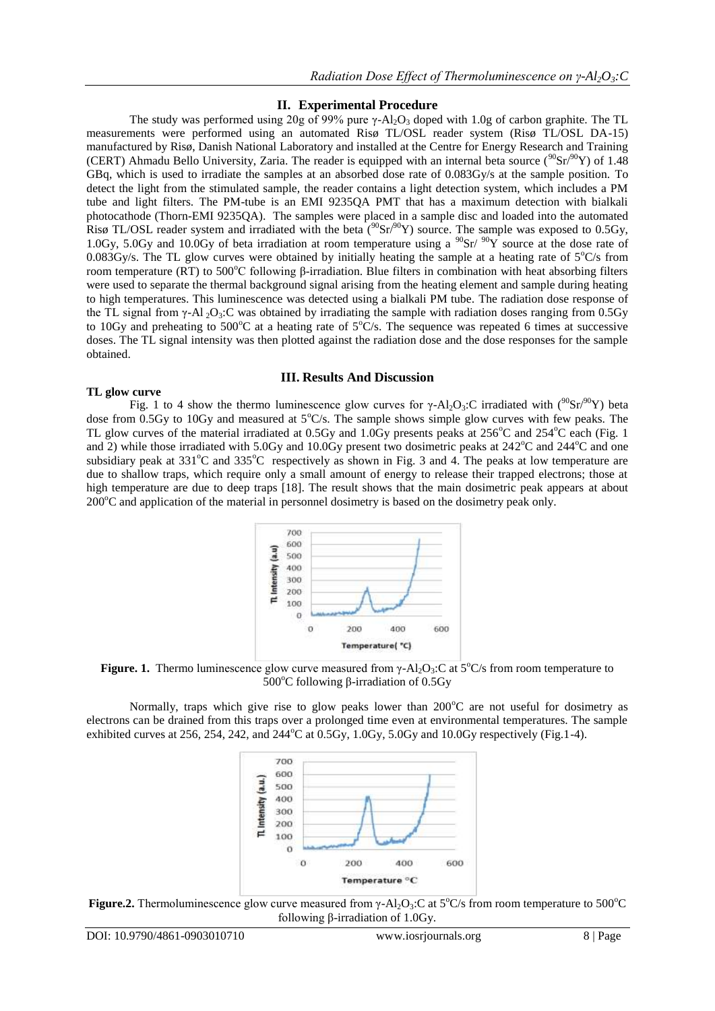## **II. Experimental Procedure**

The study was performed using 20g of 99% pure  $\gamma$ -Al<sub>2</sub>O<sub>3</sub> doped with 1.0g of carbon graphite. The TL measurements were performed using an automated Risø TL/OSL reader system (Risø TL/OSL DA-15) manufactured by Risø, Danish National Laboratory and installed at the Centre for Energy Research and Training (CERT) Ahmadu Bello University, Zaria. The reader is equipped with an internal beta source ( $90\text{Sr}/90\text{Y}$ ) of 1.48 GBq, which is used to irradiate the samples at an absorbed dose rate of 0.083Gy/s at the sample position. To detect the light from the stimulated sample, the reader contains a light detection system, which includes a PM tube and light filters. The PM-tube is an EMI 9235QA PMT that has a maximum detection with bialkali photocathode (Thorn-EMI 9235QA). The samples were placed in a sample disc and loaded into the automated Risø TL/OSL reader system and irradiated with the beta  $(^{90}Sr)^{90}Y$ ) source. The sample was exposed to 0.5Gy, 1.0Gy, 5.0Gy and 10.0Gy of beta irradiation at room temperature using a  $^{90}Sr/ ^{90}Y$  source at the dose rate of 0.083Gy/s. The TL glow curves were obtained by initially heating the sample at a heating rate of  $5^{\circ}$ C/s from room temperature (RT) to 500°C following β-irradiation. Blue filters in combination with heat absorbing filters were used to separate the thermal background signal arising from the heating element and sample during heating to high temperatures. This luminescence was detected using a bialkali PM tube. The radiation dose response of the TL signal from  $\gamma$ -Al <sub>2</sub>O<sub>3</sub>:C was obtained by irradiating the sample with radiation doses ranging from 0.5Gy to 10Gy and preheating to 500 $^{\circ}$ C at a heating rate of 5 $^{\circ}$ C/s. The sequence was repeated 6 times at successive doses. The TL signal intensity was then plotted against the radiation dose and the dose responses for the sample obtained.

### **III. Results And Discussion**

#### **TL glow curve**

Fig. 1 to 4 show the thermo luminescence glow curves for  $\gamma$ -Al<sub>2</sub>O<sub>3</sub>:C irradiated with (<sup>90</sup>Sr<sup>90</sup>Y) beta dose from 0.5Gy to 10Gy and measured at  $5^{\circ}$ C/s. The sample shows simple glow curves with few peaks. The TL glow curves of the material irradiated at 0.5Gy and 1.0Gy presents peaks at  $256^{\circ}$ C and  $254^{\circ}$ C each (Fig. 1 and 2) while those irradiated with 5.0Gy and 10.0Gy present two dosimetric peaks at 242°C and 244°C and one subsidiary peak at  $331^{\circ}$ C and  $335^{\circ}$ C respectively as shown in Fig. 3 and 4. The peaks at low temperature are due to shallow traps, which require only a small amount of energy to release their trapped electrons; those at high temperature are due to deep traps [18]. The result shows that the main dosimetric peak appears at about  $200^{\circ}$ C and application of the material in personnel dosimetry is based on the dosimetry peak only.



**Figure. 1.** Thermo luminescence glow curve measured from  $\gamma$ -Al<sub>2</sub>O<sub>3</sub>:C at 5<sup>o</sup>C/s from room temperature to 500<sup>o</sup>C following β-irradiation of 0.5Gy

Normally, traps which give rise to glow peaks lower than  $200^{\circ}$ C are not useful for dosimetry as electrons can be drained from this traps over a prolonged time even at environmental temperatures. The sample exhibited curves at 256, 254, 242, and  $244^{\circ}$ C at 0.5Gy, 1.0Gy, 5.0Gy and 10.0Gy respectively (Fig.1-4).



**Figure.2.** Thermoluminescence glow curve measured from  $\gamma$ -Al<sub>2</sub>O<sub>3</sub>:C at  $5^{\circ}$ C/s from room temperature to  $500^{\circ}$ C following β-irradiation of 1.0Gy.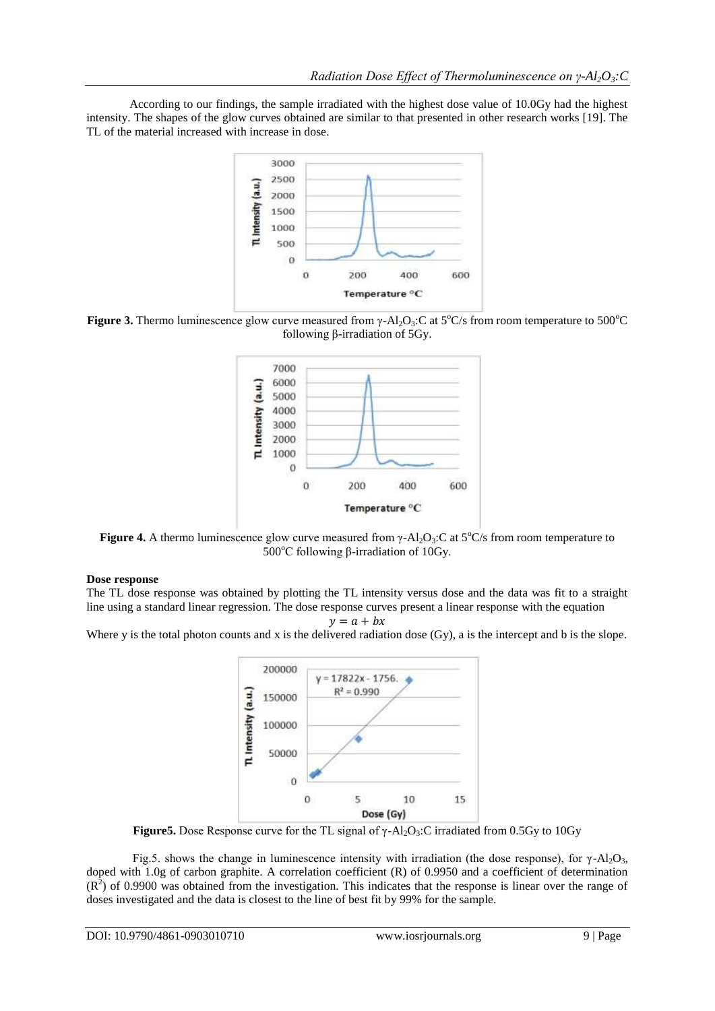According to our findings, the sample irradiated with the highest dose value of 10.0Gy had the highest intensity. The shapes of the glow curves obtained are similar to that presented in other research works [19]. The TL of the material increased with increase in dose.



**Figure 3.** Thermo luminescence glow curve measured from  $\gamma$ -Al<sub>2</sub>O<sub>3</sub>:C at 5<sup>o</sup>C/s from room temperature to 500<sup>o</sup>C following β-irradiation of 5Gy.



**Figure 4.** A thermo luminescence glow curve measured from  $\gamma$ -Al<sub>2</sub>O<sub>3</sub>:C at 5<sup>o</sup>C/s from room temperature to 500 $^{\circ}$ C following β-irradiation of 10Gy.

## **Dose response**

The TL dose response was obtained by plotting the TL intensity versus dose and the data was fit to a straight line using a standard linear regression. The dose response curves present a linear response with the equation

 $y = a + bx$ 

Where y is the total photon counts and x is the delivered radiation dose (Gy), a is the intercept and b is the slope.



**Figure5.** Dose Response curve for the TL signal of  $\gamma$ -Al<sub>2</sub>O<sub>3</sub>:C irradiated from 0.5Gy to 10Gy

Fig.5. shows the change in luminescence intensity with irradiation (the dose response), for γ-Al<sub>2</sub>O<sub>3</sub>, doped with 1.0g of carbon graphite. A correlation coefficient (R) of 0.9950 and a coefficient of determination  $(R<sup>2</sup>)$  of 0.9900 was obtained from the investigation. This indicates that the response is linear over the range of doses investigated and the data is closest to the line of best fit by 99% for the sample.